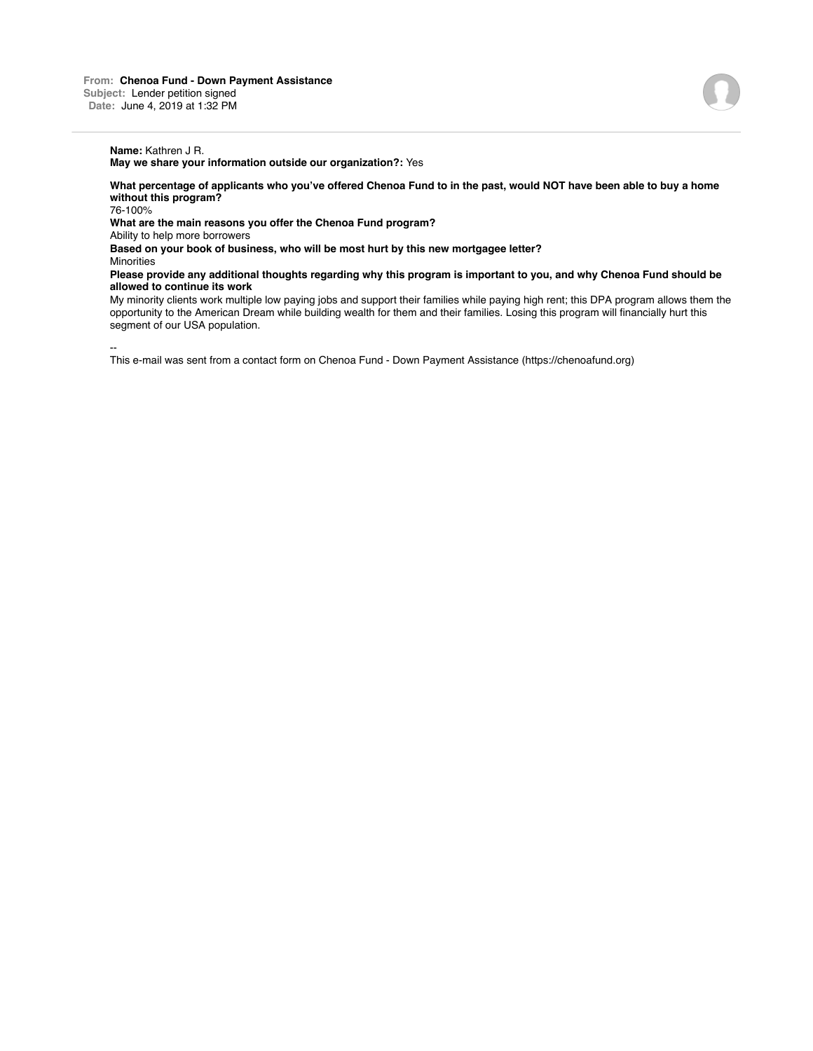## **Name:** Kathren J R.

**May we share your information outside our organization?:** Yes

**What percentage of applicants who you've offered Chenoa Fund to in the past, would NOT have been able to buy a home without this program?**

76-100%

**What are the main reasons you offer the Chenoa Fund program?**

Ability to help more borrowers

**Based on your book of business, who will be most hurt by this new mortgagee letter?**

**Minorities** 

**Please provide any additional thoughts regarding why this program is important to you, and why Chenoa Fund should be allowed to continue its work**

My minority clients work multiple low paying jobs and support their families while paying high rent; this DPA program allows them the opportunity to the American Dream while building wealth for them and their families. Losing this program will financially hurt this segment of our USA population.

-- This e-mail was sent from a contact form on Chenoa Fund - Down Payment Assistance (https://chenoafund.org)